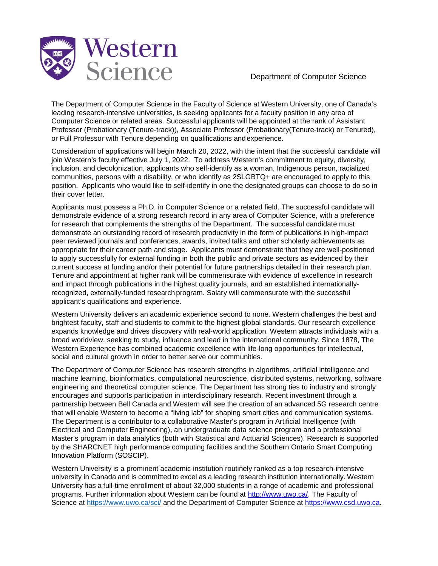

Department of Computer Science

The Department of Computer Science in the Faculty of Science at Western University, one of Canada's leading research-intensive universities, is seeking applicants for a faculty position in any area of Computer Science or related areas. Successful applicants will be appointed at the rank of Assistant Professor (Probationary (Tenure-track)), Associate Professor (Probationary(Tenure-track) or Tenured), or Full Professor with Tenure depending on qualifications andexperience.

Consideration of applications will begin March 20, 2022, with the intent that the successful candidate will join Western's faculty effective July 1, 2022. To address Western's commitment to equity, diversity, inclusion, and decolonization, applicants who self-identify as a woman, Indigenous person, racialized communities, persons with a disability, or who identify as 2SLGBTQ+ are encouraged to apply to this position. Applicants who would like to self-identify in one the designated groups can choose to do so in their cover letter.

Applicants must possess a Ph.D. in Computer Science or a related field. The successful candidate will demonstrate evidence of a strong research record in any area of Computer Science, with a preference for research that complements the strengths of the Department. The successful candidate must demonstrate an outstanding record of research productivity in the form of publications in high-impact peer reviewed journals and conferences, awards, invited talks and other scholarly achievements as appropriate for their career path and stage. Applicants must demonstrate that they are well-positioned to apply successfully for external funding in both the public and private sectors as evidenced by their current success at funding and/or their potential for future partnerships detailed in their research plan. Tenure and appointment at higher rank will be commensurate with evidence of excellence in research and impact through publications in the highest quality journals, and an established internationallyrecognized, externally-funded research program. Salary will commensurate with the successful applicant's qualifications and experience.

Western University delivers an academic experience second to none. Western challenges the best and brightest faculty, staff and students to commit to the highest global standards. Our research excellence expands knowledge and drives discovery with real-world application. Western attracts individuals with a broad worldview, seeking to study, influence and lead in the international community. Since 1878, The Western Experience has combined academic excellence with life-long opportunities for intellectual, social and cultural growth in order to better serve our communities.

The Department of Computer Science has research strengths in algorithms, artificial intelligence and machine learning, bioinformatics, computational neuroscience, distributed systems, networking, software engineering and theoretical computer science. The Department has strong ties to industry and strongly encourages and supports participation in interdisciplinary research. Recent investment through a partnership between Bell Canada and Western will see the creation of an advanced 5G research centre that will enable Western to become a "living lab" for shaping smart cities and communication systems. The Department is a contributor to a collaborative Master's program in Artificial Intelligence (with Electrical and Computer Engineering), an undergraduate data science program and a professional Master's program in data analytics (both with Statistical and Actuarial Sciences). Research is supported by the SHARCNET high performance computing facilities and the Southern Ontario Smart Computing Innovation Platform (SOSCIP).

Western University is a prominent academic institution routinely ranked as a top research-intensive university in Canada and is committed to excel as a leading research institution internationally. Western University has a full-time enrollment of about 32,000 students in a range of academic and professional programs. Further information about Western can be found at [http://www.uwo.ca/,](http://www.uwo.ca/) The Faculty of Science at<https://www.uwo.ca/sci/> and the Department of Computer Science at [https://www.csd.uwo.ca.](https://www.csd.uwo.ca/)